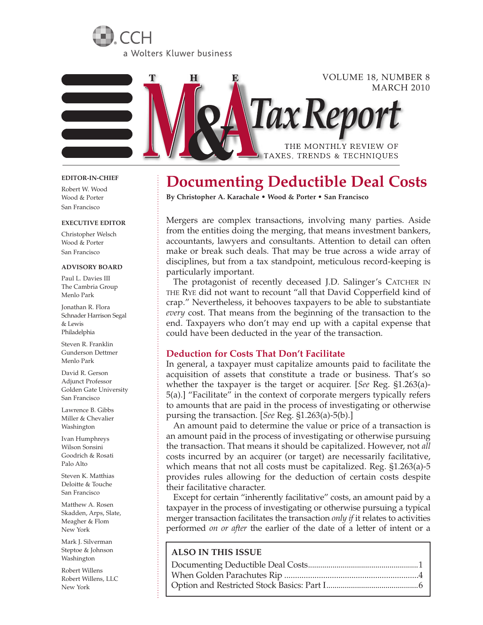



## **EDITOR-IN-CHIEF**

Robert W. Wood Wood & Porter San Francisco

#### **EXECUTIVE EDITOR**

Christopher Welsch Wood & Porter San Francisco

### **Advisory Board**

Paul L. Davies III The Cambria Group Menlo Park

Jonathan R. Flora Schnader Harrison Segal & Lewis Philadelphia

Steven R. Franklin Gunderson Dettmer Menlo Park

David R. Gerson Adjunct Professor Golden Gate University San Francisco

Lawrence B. Gibbs Miller & Chevalier Washington

Ivan Humphreys Wilson Sonsini Goodrich & Rosati Palo Alto

Steven K. Matthias Deloitte & Touche San Francisco

Matthew A. Rosen Skadden, Arps, Slate, Meagher & Flom New York

Mark J. Silverman Steptoe & Johnson Washington

Robert Willens Robert Willens, LLC New York

# **Documenting Deductible Deal Costs**

**By Christopher A. Karachale • Wood & Porter • San Francisco**

Mergers are complex transactions, involving many parties. Aside from the entities doing the merging, that means investment bankers, accountants, lawyers and consultants. Attention to detail can often make or break such deals. That may be true across a wide array of disciplines, but from a tax standpoint, meticulous record-keeping is particularly important.

The protagonist of recently deceased J.D. Salinger's CATCHER IN the Rye did not want to recount "all that David Copperfield kind of crap." Nevertheless, it behooves taxpayers to be able to substantiate *every* cost. That means from the beginning of the transaction to the end. Taxpayers who don't may end up with a capital expense that could have been deducted in the year of the transaction.

# **Deduction for Costs That Don't Facilitate**

In general, a taxpayer must capitalize amounts paid to facilitate the acquisition of assets that constitute a trade or business. That's so whether the taxpayer is the target or acquirer. [*See* Reg. §1.263(a)- 5(a).] "Facilitate" in the context of corporate mergers typically refers to amounts that are paid in the process of investigating or otherwise pursing the transaction. [*See* Reg. §1.263(a)-5(b).]

An amount paid to determine the value or price of a transaction is an amount paid in the process of investigating or otherwise pursuing the transaction. That means it should be capitalized. However, not *all* costs incurred by an acquirer (or target) are necessarily facilitative, which means that not all costs must be capitalized. Reg. §1.263(a)-5 provides rules allowing for the deduction of certain costs despite their facilitative character.

Except for certain "inherently facilitative" costs, an amount paid by a taxpayer in the process of investigating or otherwise pursuing a typical merger transaction facilitates the transaction *only if* it relates to activities performed *on or after* the earlier of the date of a letter of intent or a

# **ALSO IN THIS ISSUE**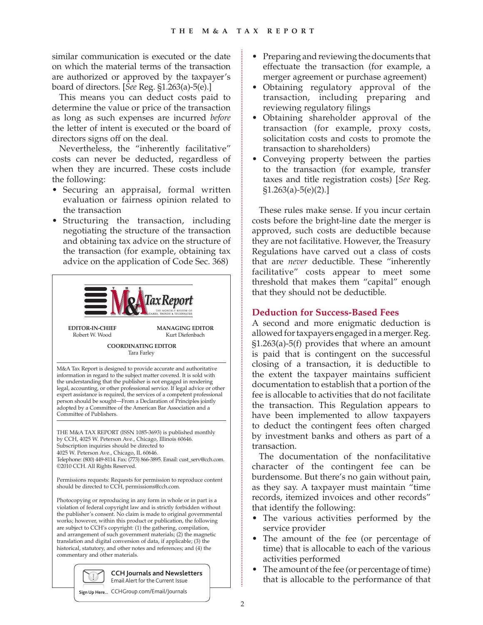similar communication is executed or the date on which the material terms of the transaction are authorized or approved by the taxpayer's board of directors. [*See* Reg. §1.263(a)-5(e).]

This means you can deduct costs paid to determine the value or price of the transaction as long as such expenses are incurred *before* the letter of intent is executed or the board of directors signs off on the deal.

Nevertheless, the "inherently facilitative" costs can never be deducted, regardless of when they are incurred. These costs include the following:

- Securing an appraisal, formal written evaluation or fairness opinion related to the transaction
- • Structuring the transaction, including negotiating the structure of the transaction and obtaining tax advice on the structure of the transaction (for example, obtaining tax advice on the application of Code Sec. 368)



**COORDINATING EDITOR** Tara Farley

M&A Tax Report is designed to provide accurate and authoritative information in regard to the subject matter covered. It is sold with the understanding that the publisher is not engaged in rendering legal, accounting, or other professional service. If legal advice or other expert assistance is required, the services of a competent professional person should be sought—From a Declaration of Principles jointly adopted by a Committee of the American Bar Association and a Committee of Publishers.

THE M&A TAX REPORT (ISSN 1085-3693) is published monthly by CCH, 4025 W. Peterson Ave., Chicago, Illinois 60646. Subscription inquiries should be directed to 4025 W. Peterson Ave., Chicago, IL 60646. Telephone: (800) 449-8114. Fax: (773) 866-3895. Email: cust\_serv@cch.com. ©2010 CCH. All Rights Reserved.

Permissions requests: Requests for permission to reproduce content should be directed to CCH, permissions@cch.com.

Photocopying or reproducing in any form in whole or in part is a violation of federal copyright law and is strictly forbidden without the publisher's consent. No claim is made to original governmental works; however, within this product or publication, the following are subject to CCH's copyright: (1) the gathering, compilation, and arrangement of such government materials; (2) the magnetic translation and digital conversion of data, if applicable; (3) the historical, statutory, and other notes and references; and (4) the commentary and other materials.



Email Alert for the Current Issue

**Sign Up Here...** CCHGroup.com/Email/Journals

- • Preparing and reviewing the documents that effectuate the transaction (for example, a merger agreement or purchase agreement)
- • Obtaining regulatory approval of the transaction, including preparing and reviewing regulatory filings
- • Obtaining shareholder approval of the transaction (for example, proxy costs, solicitation costs and costs to promote the transaction to shareholders)
- Conveying property between the parties to the transaction (for example, transfer taxes and title registration costs) [*See* Reg.  $$1.263(a)-5(e)(2).]$

These rules make sense. If you incur certain costs before the bright-line date the merger is approved, such costs are deductible because they are not facilitative. However, the Treasury Regulations have carved out a class of costs that are *never* deductible. These "inherently facilitative" costs appear to meet some threshold that makes them "capital" enough that they should not be deductible.

# **Deduction for Success-Based Fees**

A second and more enigmatic deduction is allowed for taxpayers engaged in a merger. Reg. §1.263(a)-5(f) provides that where an amount is paid that is contingent on the successful closing of a transaction, it is deductible to the extent the taxpayer maintains sufficient documentation to establish that a portion of the fee is allocable to activities that do not facilitate the transaction. This Regulation appears to have been implemented to allow taxpayers to deduct the contingent fees often charged by investment banks and others as part of a transaction.

The documentation of the nonfacilitative character of the contingent fee can be burdensome. But there's no gain without pain, as they say. A taxpayer must maintain "time records, itemized invoices and other records" that identify the following:

- The various activities performed by the service provider
- The amount of the fee (or percentage of time) that is allocable to each of the various activities performed
- The amount of the fee (or percentage of time) that is allocable to the performance of that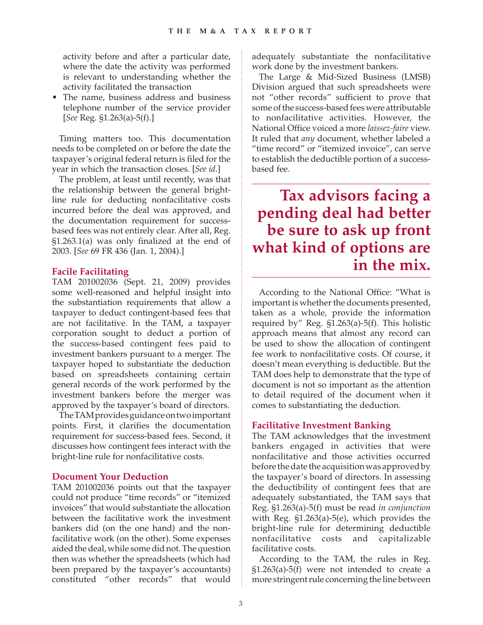activity before and after a particular date, where the date the activity was performed is relevant to understanding whether the activity facilitated the transaction

• The name, business address and business telephone number of the service provider [*See* Reg. §1.263(a)-5(f).]

Timing matters too. This documentation needs to be completed on or before the date the taxpayer's original federal return is filed for the year in which the transaction closes. [*See id*.]

The problem, at least until recently, was that the relationship between the general brightline rule for deducting nonfacilitative costs incurred before the deal was approved, and the documentation requirement for successbased fees was not entirely clear. After all, Reg. §1.263.1(a) was only finalized at the end of 2003. [*See* 69 FR 436 (Jan. 1, 2004).]

# **Facile Facilitating**

TAM 201002036 (Sept. 21, 2009) provides some well-reasoned and helpful insight into the substantiation requirements that allow a taxpayer to deduct contingent-based fees that are not facilitative. In the TAM, a taxpayer corporation sought to deduct a portion of the success-based contingent fees paid to investment bankers pursuant to a merger. The taxpayer hoped to substantiate the deduction based on spreadsheets containing certain general records of the work performed by the investment bankers before the merger was approved by the taxpayer's board of directors.

The TAM provides guidance on two important points. First, it clarifies the documentation requirement for success-based fees. Second, it discusses how contingent fees interact with the bright-line rule for nonfacilitative costs.

# **Document Your Deduction**

TAM 201002036 points out that the taxpayer could not produce "time records" or "itemized invoices" that would substantiate the allocation between the facilitative work the investment bankers did (on the one hand) and the nonfacilitative work (on the other). Some expenses aided the deal, while some did not. The question then was whether the spreadsheets (which had been prepared by the taxpayer's accountants) constituted "other records" that would

adequately substantiate the nonfacilitative work done by the investment bankers.

The Large & Mid-Sized Business (LMSB) Division argued that such spreadsheets were not "other records" sufficient to prove that some of the success-based fees were attributable to nonfacilitative activities. However, the National Office voiced a more *laissez-faire* view. It ruled that *any* document, whether labeled a "time record" or "itemized invoice", can serve to establish the deductible portion of a successbased fee.

**Tax advisors facing a pending deal had better be sure to ask up front what kind of options are in the mix.**

According to the National Office: "What is important is whether the documents presented, taken as a whole, provide the information required by" Reg. §1.263(a)-5(f). This holistic approach means that almost any record can be used to show the allocation of contingent fee work to nonfacilitative costs. Of course, it doesn't mean everything is deductible. But the TAM does help to demonstrate that the type of document is not so important as the attention to detail required of the document when it comes to substantiating the deduction.

## **Facilitative Investment Banking**

The TAM acknowledges that the investment bankers engaged in activities that were nonfacilitative and those activities occurred before the date the acquisition was approved by the taxpayer's board of directors. In assessing the deductibility of contingent fees that are adequately substantiated, the TAM says that Reg. §1.263(a)-5(f) must be read *in conjunction* with Reg. §1.263(a)-5(e), which provides the bright-line rule for determining deductible nonfacilitative costs and capitalizable facilitative costs.

According to the TAM, the rules in Reg. §1.263(a)-5(f) were not intended to create a more stringent rule concerning the line between